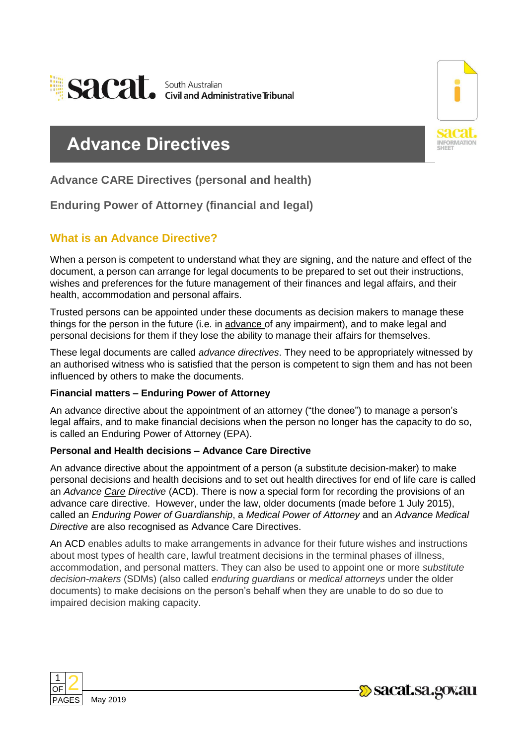



# **Advance Directives**

**Advance CARE Directives (personal and health)**

**Enduring Power of Attorney (financial and legal)**

# **What is an Advance Directive?**

When a person is competent to understand what they are signing, and the nature and effect of the document, a person can arrange for legal documents to be prepared to set out their instructions, wishes and preferences for the future management of their finances and legal affairs, and their health, accommodation and personal affairs.

Trusted persons can be appointed under these documents as decision makers to manage these things for the person in the future (i.e. in advance of any impairment), and to make legal and personal decisions for them if they lose the ability to manage their affairs for themselves.

These legal documents are called *advance directives*. They need to be appropriately witnessed by an authorised witness who is satisfied that the person is competent to sign them and has not been influenced by others to make the documents.

#### **Financial matters – Enduring Power of Attorney**

An advance directive about the appointment of an attorney ("the donee") to manage a person's legal affairs, and to make financial decisions when the person no longer has the capacity to do so, is called an Enduring Power of Attorney (EPA).

#### **Personal and Health decisions – Advance Care Directive**

An advance directive about the appointment of a person (a substitute decision-maker) to make personal decisions and health decisions and to set out health directives for end of life care is called an *Advance Care Directive* (ACD). There is now a special form for recording the provisions of an advance care directive. However, under the law, older documents (made before 1 July 2015), called an *Enduring Power of Guardianship*, a *Medical Power of Attorney* and an *Advance Medical Directive* are also recognised as Advance Care Directives.

An ACD enables adults to make arrangements in advance for their future wishes and instructions about most types of health care, lawful treatment decisions in the terminal phases of illness, accommodation, and personal matters. They can also be used to appoint one or more *substitute decision-makers* (SDMs) (also called *enduring guardians* or *medical attorneys* under the older documents) to make decisions on the person's behalf when they are unable to do so due to impaired decision making capacity.